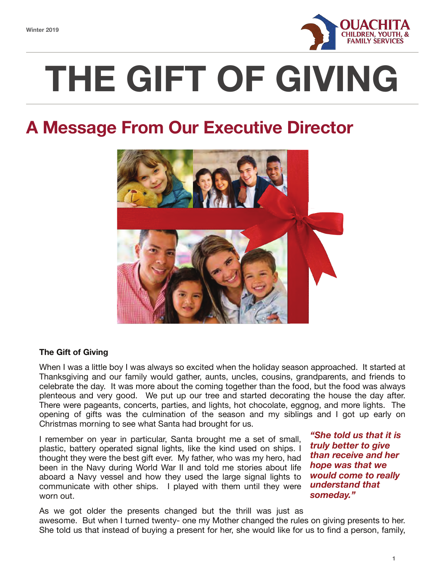

# **THE GIFT OF GIVING**

## **A Message From Our Executive Director**



## **The Gift of Giving**

When I was a little boy I was always so excited when the holiday season approached. It started at Thanksgiving and our family would gather, aunts, uncles, cousins, grandparents, and friends to celebrate the day. It was more about the coming together than the food, but the food was always plenteous and very good. We put up our tree and started decorating the house the day after. There were pageants, concerts, parties, and lights, hot chocolate, eggnog, and more lights. The opening of gifts was the culmination of the season and my siblings and I got up early on Christmas morning to see what Santa had brought for us.

I remember on year in particular, Santa brought me a set of small, plastic, battery operated signal lights, like the kind used on ships. I thought they were the best gift ever. My father, who was my hero, had been in the Navy during World War II and told me stories about life aboard a Navy vessel and how they used the large signal lights to communicate with other ships. I played with them until they were worn out.

*"She told us that it is truly better to give than receive and her hope was that we would come to really understand that someday."*

As we got older the presents changed but the thrill was just as awesome. But when I turned twenty- one my Mother changed the rules on giving presents to her. She told us that instead of buying a present for her, she would like for us to find a person, family,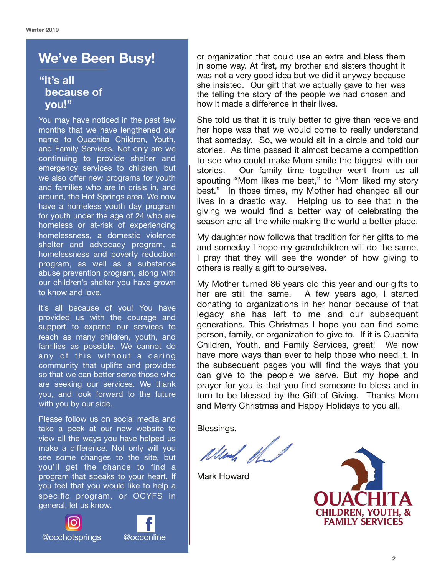## **We've Been Busy!**

## **"It's all because of you!"**

You may have noticed in the past few months that we have lengthened our name to Ouachita Children, Youth, and Family Services. Not only are we continuing to provide shelter and emergency services to children, but we also offer new programs for youth and families who are in crisis in, and around, the Hot Springs area. We now have a homeless youth day program for youth under the age of 24 who are homeless or at-risk of experiencing homelessness, a domestic violence shelter and advocacy program, a homelessness and poverty reduction program, as well as a substance abuse prevention program, along with our children's shelter you have grown to know and love.

It's all because of you! You have provided us with the courage and support to expand our services to reach as many children, youth, and families as possible. We cannot do any of this without a caring community that uplifts and provides so that we can better serve those who are seeking our services. We thank you, and look forward to the future with you by our side.

Please follow us on social media and take a peek at our new website to view all the ways you have helped us make a difference. Not only will you see some changes to the site, but you'll get the chance to find a program that speaks to your heart. If you feel that you would like to help a specific program, or OCYFS in general, let us know.





or organization that could use an extra and bless them in some way. At first, my brother and sisters thought it was not a very good idea but we did it anyway because she insisted. Our gift that we actually gave to her was the telling the story of the people we had chosen and how it made a difference in their lives.

She told us that it is truly better to give than receive and her hope was that we would come to really understand that someday. So, we would sit in a circle and told our stories. As time passed it almost became a competition to see who could make Mom smile the biggest with our stories. Our family time together went from us all spouting "Mom likes me best," to "Mom liked my story best." In those times, my Mother had changed all our lives in a drastic way. Helping us to see that in the giving we would find a better way of celebrating the season and all the while making the world a better place.

My daughter now follows that tradition for her gifts to me and someday I hope my grandchildren will do the same. I pray that they will see the wonder of how giving to others is really a gift to ourselves.

My Mother turned 86 years old this year and our gifts to her are still the same. A few years ago, I started donating to organizations in her honor because of that legacy she has left to me and our subsequent generations. This Christmas I hope you can find some person, family, or organization to give to. If it is Ouachita Children, Youth, and Family Services, great! We now have more ways than ever to help those who need it. In the subsequent pages you will find the ways that you can give to the people we serve. But my hope and prayer for you is that you find someone to bless and in turn to be blessed by the Gift of Giving. Thanks Mom and Merry Christmas and Happy Holidays to you all.

Blessings,

Und the

Mark Howard

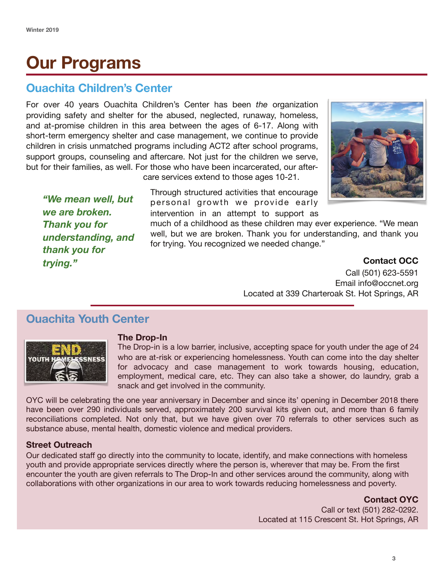# **Our Programs**

## **Ouachita Children's Center**

For over 40 years Ouachita Children's Center has been *the* organization providing safety and shelter for the abused, neglected, runaway, homeless, and at-promise children in this area between the ages of 6-17. Along with short-term emergency shelter and case management, we continue to provide children in crisis unmatched programs including ACT2 after school programs, support groups, counseling and aftercare. Not just for the children we serve, but for their families, as well. For those who have been incarcerated, our after-

care services extend to those ages 10-21.

Through structured activities that encourage personal growth we provide early intervention in an attempt to support as

much of a childhood as these children may ever experience. "We mean well, but we are broken. Thank you for understanding, and thank you for trying. You recognized we needed change."

**Contact OCC** 

Call (501) 623-5591 Email info@occnet.org Located at 339 Charteroak St. Hot Springs, AR

## **Ouachita Youth Center**

*"We mean well, but* 

*understanding, and* 

*we are broken. Thank you for* 

*thank you for* 

*trying."* 



## **The Drop-In**

The Drop-in is a low barrier, inclusive, accepting space for youth under the age of 24 who are at-risk or experiencing homelessness. Youth can come into the day shelter for advocacy and case management to work towards housing, education, employment, medical care, etc. They can also take a shower, do laundry, grab a snack and get involved in the community.

OYC will be celebrating the one year anniversary in December and since its' opening in December 2018 there have been over 290 individuals served, approximately 200 survival kits given out, and more than 6 family reconciliations completed. Not only that, but we have given over 70 referrals to other services such as substance abuse, mental health, domestic violence and medical providers.

## **Street Outreach**

Our dedicated staff go directly into the community to locate, identify, and make connections with homeless youth and provide appropriate services directly where the person is, wherever that may be. From the first encounter the youth are given referrals to The Drop-In and other services around the community, along with collaborations with other organizations in our area to work towards reducing homelessness and poverty.

## **Contact OYC**

Call or text (501) 282-0292. Located at 115 Crescent St. Hot Springs, AR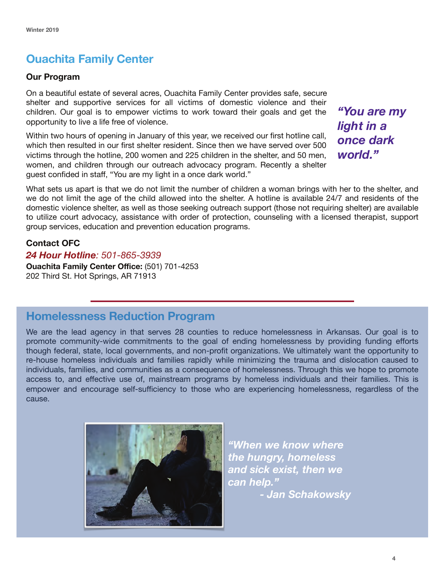## **Ouachita Family Center**

## **Our Program**

On a beautiful estate of several acres, Ouachita Family Center provides safe, secure shelter and supportive services for all victims of domestic violence and their children. Our goal is to empower victims to work toward their goals and get the opportunity to live a life free of violence.

Within two hours of opening in January of this year, we received our first hotline call, which then resulted in our first shelter resident. Since then we have served over 500 victims through the hotline, 200 women and 225 children in the shelter, and 50 men, women, and children through our outreach advocacy program. Recently a shelter guest confided in staff, "You are my light in a once dark world."

*"You are my light in a once dark world."* 

What sets us apart is that we do not limit the number of children a woman brings with her to the shelter, and we do not limit the age of the child allowed into the shelter. A hotline is available 24/7 and residents of the domestic violence shelter, as well as those seeking outreach support (those not requiring shelter) are available to utilize court advocacy, assistance with order of protection, counseling with a licensed therapist, support group services, education and prevention education programs.

## **Contact OFC**

*24 Hour Hotline: 501-865-3939*  **Ouachita Family Center Office:** (501) 701-4253 202 Third St. Hot Springs, AR 71913

## **Homelessness Reduction Program**

We are the lead agency in that serves 28 counties to reduce homelessness in Arkansas. Our goal is to promote community-wide commitments to the goal of ending homelessness by providing funding efforts though federal, state, local governments, and non-profit organizations. We ultimately want the opportunity to re-house homeless individuals and families rapidly while minimizing the trauma and dislocation caused to individuals, families, and communities as a consequence of homelessness. Through this we hope to promote access to, and effective use of, mainstream programs by homeless individuals and their families. This is empower and encourage self-sufficiency to those who are experiencing homelessness, regardless of the cause.



*"When we know where the hungry, homeless and sick exist, then we can help." - Jan Schakowsky*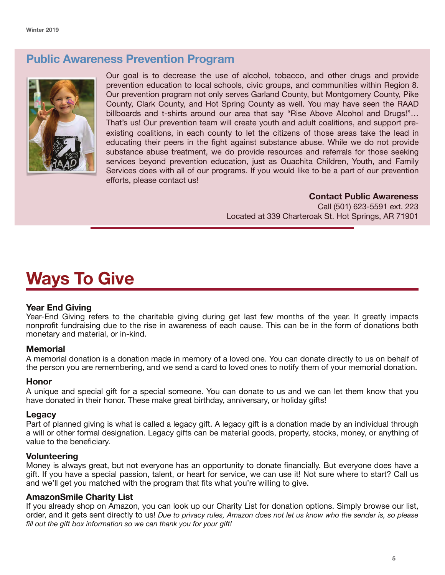## **Public Awareness Prevention Program**



Our goal is to decrease the use of alcohol, tobacco, and other drugs and provide prevention education to local schools, civic groups, and communities within Region 8. Our prevention program not only serves Garland County, but Montgomery County, Pike County, Clark County, and Hot Spring County as well. You may have seen the RAAD billboards and t-shirts around our area that say "Rise Above Alcohol and Drugs!"… That's us! Our prevention team will create youth and adult coalitions, and support preexisting coalitions, in each county to let the citizens of those areas take the lead in educating their peers in the fight against substance abuse. While we do not provide substance abuse treatment, we do provide resources and referrals for those seeking services beyond prevention education, just as Ouachita Children, Youth, and Family Services does with all of our programs. If you would like to be a part of our prevention efforts, please contact us!

## **Contact Public Awareness**

Call (501) 623-5591 ext. 223 Located at 339 Charteroak St. Hot Springs, AR 71901

# **Ways To Give**

## **Year End Giving**

Year-End Giving refers to the charitable giving during get last few months of the year. It greatly impacts nonprofit fundraising due to the rise in awareness of each cause. This can be in the form of donations both monetary and material, or in-kind.

#### **Memorial**

A memorial donation is a donation made in memory of a loved one. You can donate directly to us on behalf of the person you are remembering, and we send a card to loved ones to notify them of your memorial donation.

#### **Honor**

A unique and special gift for a special someone. You can donate to us and we can let them know that you have donated in their honor. These make great birthday, anniversary, or holiday gifts!

#### **Legacy**

Part of planned giving is what is called a legacy gift. A legacy gift is a donation made by an individual through a will or other formal designation. Legacy gifts can be material goods, property, stocks, money, or anything of value to the beneficiary.

#### **Volunteering**

Money is always great, but not everyone has an opportunity to donate financially. But everyone does have a gift. If you have a special passion, talent, or heart for service, we can use it! Not sure where to start? Call us and we'll get you matched with the program that fits what you're willing to give.

## **AmazonSmile Charity List**

If you already shop on Amazon, you can look up our Charity List for donation options. Simply browse our list, order, and it gets sent directly to us! *Due to privacy rules, Amazon does not let us know who the sender is, so please fill out the gift box information so we can thank you for your gift!*